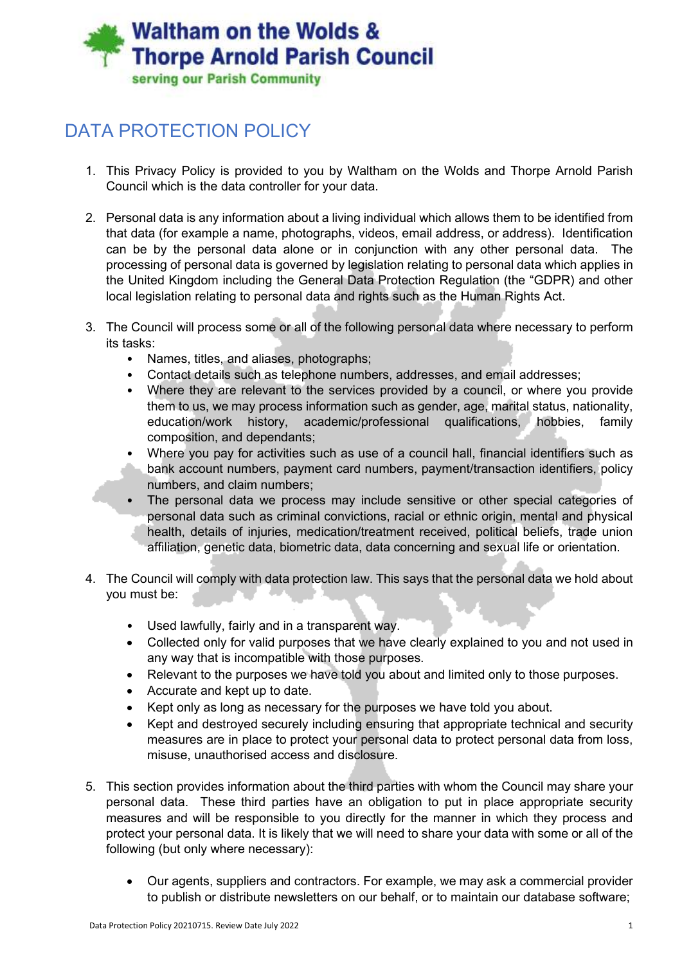## **Waltham on the Wolds & Thorpe Arnold Parish Council** serving our Parish Community

## DATA PROTECTION POLICY

- 1. This Privacy Policy is provided to you by Waltham on the Wolds and Thorpe Arnold Parish Council which is the data controller for your data.
- 2. Personal data is any information about a living individual which allows them to be identified from that data (for example a name, photographs, videos, email address, or address). Identification can be by the personal data alone or in conjunction with any other personal data. The processing of personal data is governed by legislation relating to personal data which applies in the United Kingdom including the General Data Protection Regulation (the "GDPR) and other local legislation relating to personal data and rights such as the Human Rights Act.
- 3. The Council will process some or all of the following personal data where necessary to perform its tasks:
	- Names, titles, and aliases, photographs;
	- Contact details such as telephone numbers, addresses, and email addresses;
	- Where they are relevant to the services provided by a council, or where you provide them to us, we may process information such as gender, age, marital status, nationality, education/work history, academic/professional qualifications, hobbies, family composition, and dependants;
	- Where you pay for activities such as use of a council hall, financial identifiers such as bank account numbers, payment card numbers, payment/transaction identifiers, policy numbers, and claim numbers;
	- The personal data we process may include sensitive or other special categories of personal data such as criminal convictions, racial or ethnic origin, mental and physical health, details of injuries, medication/treatment received, political beliefs, trade union affiliation, genetic data, biometric data, data concerning and sexual life or orientation.
- 4. The Council will comply with data protection law. This says that the personal data we hold about you must be:
	- Used lawfully, fairly and in a transparent way.
	- Collected only for valid purposes that we have clearly explained to you and not used in any way that is incompatible with those purposes.
	- Relevant to the purposes we have told you about and limited only to those purposes.
	- Accurate and kept up to date.
	- Kept only as long as necessary for the purposes we have told you about.
	- Kept and destroyed securely including ensuring that appropriate technical and security measures are in place to protect your personal data to protect personal data from loss, misuse, unauthorised access and disclosure.
- 5. This section provides information about the third parties with whom the Council may share your personal data. These third parties have an obligation to put in place appropriate security measures and will be responsible to you directly for the manner in which they process and protect your personal data. It is likely that we will need to share your data with some or all of the following (but only where necessary):
	- Our agents, suppliers and contractors. For example, we may ask a commercial provider to publish or distribute newsletters on our behalf, or to maintain our database software;